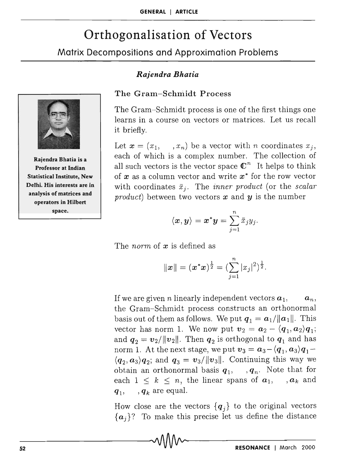# Orthogonalisation of Vectors

## Matrix Decompositions and Approximation Problems



Rajendra Bhatia is a Professor at Indian Statistical Institute, New Delhi. His interests are in analysis of matrices and operators in Hilbert space.

## *Rajendra Bhatia*

#### The Gram-Schmidt Process

The Gram-Schmidt process is one of the first things one learns in a course on vectors or matrices. Let us recall it briefly.

Let  $\mathbf{x} = (x_1, \dots, x_n)$  be a vector with *n* coordinates  $x_j$ , each of which is a complex number. The collection of all such vectors is the vector space  $\mathbb{C}^n$  It helps to think of  $x$  as a column vector and write  $x^*$  for the row vector with coordinates  $\bar{x}_i$ . The *inner product* (or the *scalar product)* between two vectors *x* and *y* is the number

$$
\langle \boldsymbol{x},\boldsymbol{y}\rangle=\boldsymbol{x}^*\boldsymbol{y}=\sum_{j=1}^n\bar{x}_jy_j.
$$

The *norm* of *x* is defined as

$$
\|\boldsymbol{x}\| = (\boldsymbol{x}^*\boldsymbol{x})^{\frac{1}{2}} = (\sum_{j=1}^n |x_j|^2)^{\frac{1}{2}}.
$$

If we are given *n* linearly independent vectors  $a_1$ ,  $a_n$ , the Gram-Schmidt process constructs an orthonormal basis out of them as follows. We put  $q_1 = a_1/||a_1||$ . This vector has norm 1. We now put  $v_2 = a_2 - \langle q_1, a_2 \rangle q_1$ ; and  $q_2 = v_2/||v_2||$ . Then  $q_2$  is orthogonal to  $q_1$  and has norm 1. At the next stage, we put  $v_3 = a_3 - \langle q_1, a_3 \rangle q_1$  $\langle q_2, a_3 \rangle q_2$ ; and  $q_3 = v_3/||v_3||$ . Continuing this way we obtain an orthonormal basis  $q_1, \ldots, q_n$ . Note that for each  $1 \leq k \leq n$ , the linear spans of  $a_1$ , ,  $a_k$  and  $q_1$ ,  $q_k$  are equal.

How close are the vectors  ${q_i}$  to the original vectors  ${a_j}$ ? To make this precise let us define the distance<br>  $\sqrt{M}$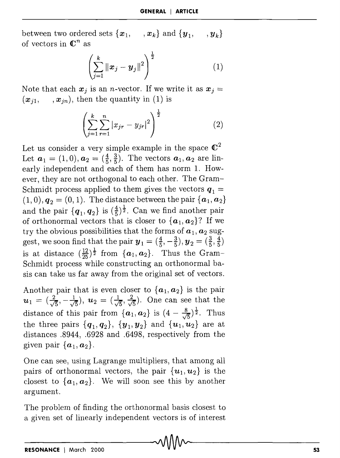between two ordered sets  $\{x_1, \ldots, x_k\}$  and  $\{y_1, \ldots, y_k\}$ of vectors in  $\mathbb{C}^n$  as

$$
\left(\sum_{j=1}^{k} ||\bm{x}_{j}-\bm{y}_{j}||^{2}\right)^{\frac{1}{2}}
$$
 (1)

Note that each  $x_j$  is an *n*-vector. If we write it as  $x_j =$  $(x_{i1}, \ldots, x_{in})$ , then the quantity in (1) is

$$
\left(\sum_{j=1}^{k} \sum_{r=1}^{n} |x_{jr} - y_{jr}|^2\right)^{\frac{1}{2}} \tag{2}
$$

Let us consider a very simple example in the space  $\mathbb{C}^2$ Let  $a_1 = (1,0), a_2 = (\frac{4}{5}, \frac{3}{5})$ . The vectors  $a_1, a_2$  are linearly independent and each of them has norm 1. However, they are not orthogonal to each other. The Gram-Schmidt process applied to them gives the vectors  $q_1 =$  $(1,0), q_2 = (0,1)$ . The distance between the pair  $\{a_1, a_2\}$ and the pair  $\{q_1, q_2\}$  is  $(\frac{4}{5})^{\frac{1}{2}}$ . Can we find another pair of orthonormal vectors that is closer to  $\{a_1, a_2\}$ ? If we try the obvious possibilities that the forms of  $a_1, a_2$  suggest, we soon find that the pair  $y_1 = (\frac{4}{5}, -\frac{3}{5}), y_2 = (\frac{3}{5}, \frac{4}{5})$ is at distance  $(\frac{12}{25})^{\frac{1}{2}}$  from  $\{a_1, a_2\}$ . Thus the Gram-Schmidt process while constructing an orthonormal basis can take us far away from the original set of vectors.

Another pair that is even closer to  ${a_1, a_2}$  is the pair  $u_1 = (\frac{2}{\sqrt{5}}, -\frac{1}{\sqrt{5}}), u_2 = (\frac{1}{\sqrt{5}}, \frac{2}{\sqrt{5}}).$  One can see that the distance of this pair from  $\{a_1, a_2\}$  is  $(4 - \frac{8}{\sqrt{5}})^{\frac{1}{2}}$ . Thus the three pairs  $\{q_1, q_2\}$ ,  $\{y_1, y_2\}$  and  $\{u_1, u_2\}$  are at distances .8944, .6928 and .6498, respectively from the given pair  $\{a_1, a_2\}$ .

One can see, using Lagrange multipliers, that among all pairs of orthonormal vectors, the pair  $\{u_1, u_2\}$  is the closest to  $\{a_1, a_2\}$ . We will soon see this by another argument.

The problem of finding the orthonormal basis closest to a given set of linearly independent vectors is of interest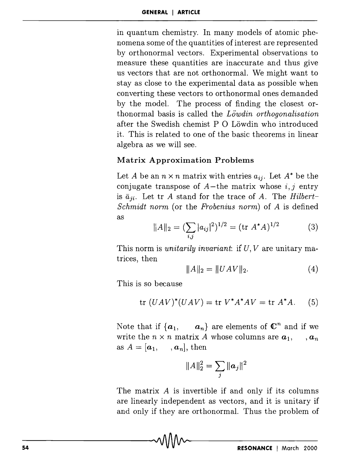in quantum chemistry. In many models of atomic phenomena some of the quantities of interest are represented by orthonormal vectors. Experimental observations to measure these quantities are inaccurate and thus give us vectors that are not orthonormal. We might want to stay as close to the experimental data as possible when converting these vectors to orthonormal ones demanded by the model. The process of finding the closest orthonormal basis is called the *Lowdin orthogonalisation*  after the Swedish chemist  $P$  O Löwdin who introduced it. This is related to one of the basic theorems in linear algebra as we will see.

### **Matrix Approximation Problems**

Let A be an  $n \times n$  matrix with entries  $a_{ij}$ . Let  $A^*$  be the conjugate transpose of  $A$ -the matrix whose  $i, j$  entry is  $\bar{a}_{ji}$ . Let tr *A* stand for the trace of *A*. The *Hilbert*-*Schmidt norm* (or the *Frobenius norm)* of *A* is defined as

$$
||A||_2 = \left(\sum_{i,j} |a_{ij}|^2\right)^{1/2} = (\text{tr } A^*A)^{1/2} \tag{3}
$$

This norm is *unitarily invariant:* if *U, V* are unitary matrices, then

$$
||A||_2 = ||UAV||_2. \t(4)
$$

This is so because

$$
tr (UAV)^{*}(UAV) = tr V^{*}A^{*}AV = tr A^{*}A.
$$
 (5)

Note that if  $\{a_1, \ldots, a_n\}$  are elements of  $\mathbb{C}^n$  and if we write the  $n \times n$  matrix *A* whose columns are  $a_1$ , ,  $a_n$ as  $A = [\boldsymbol{a}_1, \ldots, \boldsymbol{a}_n]$ , then

$$
||A||_2^2 = \sum_j ||a_j||^2
$$

The matrix *A* is invertible if and only if its columns are linearly independent as vectors, and it is unitary if and only if they are orthonormal. Thus the problem of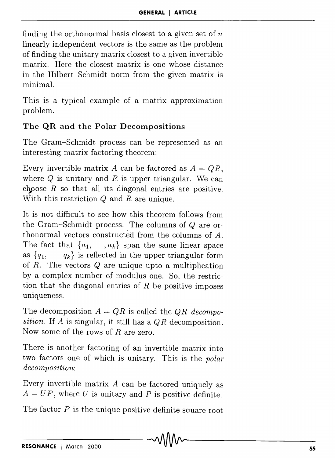finding the orthonormal basis closest to a given set of  $n$ linearly independent vectors is the same as the problem of finding the unitary matrix closest to a given invertible matrix. Here the closest matrix is one whose distance in the Hilbert-Schmidt norm from the given matrix is minimal.

This is a typical example of a matrix approximation problem.

## The **QR** and the Polar Decompositions

The Gram-Schmidt process can be represented as an interesting matrix factoring theorem:

Every invertible matrix A can be factored as  $A = QR$ . where Q is unitary and *R* is upper triangular. We can choose  $R$  so that all its diagonal entries are positive. With this restriction *Q* and *R* are unique.

It is not difficult to see how this theorem follows from the Gram-Schmidt process. The columns of Q are orthonormal vectors constructed from the columns of *A.*  The fact that  $\{a_1, \ldots, a_k\}$  span the same linear space as  ${q_1, \tq_2}$  is reflected in the upper triangular form of *R.* The vectors Q are unique upto a multiplication by a complex number of modulus one. So, the restriction that the diagonal entries of *R* be positive imposes uniqueness.

The decomposition  $A = QR$  is called the *QR decomposition.* If *A* is singular, it still has a *QR* decomposition. Now some of the rows of *R* are zero.

There is another factoring of an invertible matrix into two factors one of which is unitary. This is the *polar decomposition:* 

Every invertible matrix *A* can be factored uniquely as  $A = UP$ , where U is unitary and P is positive definite.

The factor  $P$  is the unique positive definite square root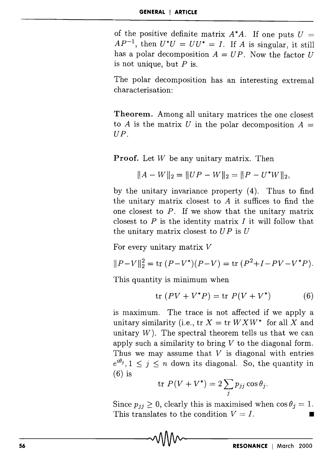of the positive definite matrix  $A^*A$ . If one puts  $U =$  $AP^{-1}$ , then  $U^*U = UU^* = I$ . If A is singular, it still has a polar decomposition  $A = UP$ . Now the factor U is not unique, but  $P$  is.

The polar decomposition has an interesting extremal characterisation:

Theorem. Among all unitary matrices the one closest to A is the matrix U in the polar decomposition  $A =$ UP.

Proof. Let *W* be any unitary matrix. Then

$$
||A - W||_2 = ||UP - W||_2 = ||P - U^*W||_2,
$$

by the unitary invariance property (4). Thus to find the unitary matrix closest to *A* it suffices to find the one closest to *P.* If we show that the unitary matrix closest to *P* is the identity matrix *I* it will follow that the unitary matrix closest to  $UP$  is  $U$ 

For every unitary matrix *V* 

$$
||P - V||_2^2 = \text{tr}(P - V^*)(P - V) = \text{tr}(P^2 + I - PV - V^*P).
$$

This quantity is minimum when

$$
\operatorname{tr}(PV + V^*P) = \operatorname{tr} P(V + V^*)\tag{6}
$$

is maximum. The trace is not affected if we apply a unitary similarity (i.e.,  $tr X = tr W X W^*$  for all X and unitary  $W$ ). The spectral theorem tells us that we can apply such a similarity to bring *V* to the diagonal form. Thus we may assume that *V* is diagonal with entries  $e^{i\theta_j}$ ,  $1 \leq i \leq n$  down its diagonal. So, the quantity in  $(6)$  is

$$
\text{tr } P(V + V^*) = 2 \sum_j p_{jj} \cos \theta_j.
$$

Since  $p_{ij} \geq 0$ , clearly this is maximised when  $\cos \theta_i = 1$ . This translates to the condition  $V = I$ .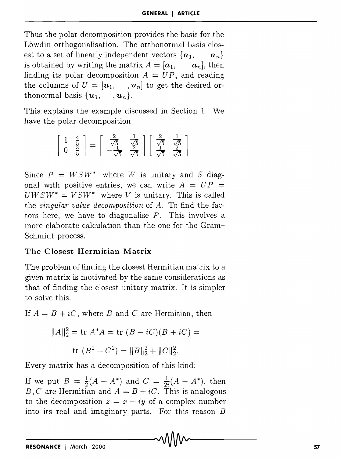Thus the polar decomposition provides the basis for the Löwdin orthogonalisation. The orthonormal basis closest to a set of linearly independent vectors  $\{a_1, \ldots, a_n\}$ is obtained by writing the matrix  $A = [\boldsymbol{a}_1, \boldsymbol{a}_n]$ , then finding its polar decomposition  $A = UP$ , and reading the columns of  $U = [\mathbf{u}_1, \dots, \mathbf{u}_n]$  to get the desired orthonormal basis  $\{u_1, \dots, u_n\}.$ 

This explains the example discussed in Section l. We have the polar decomposition

$$
\begin{bmatrix} 1 & \frac{4}{5} \\ 0 & \frac{3}{5} \end{bmatrix} = \begin{bmatrix} \frac{2}{\sqrt{5}} & \frac{1}{\sqrt{5}} \\ -\frac{1}{\sqrt{5}} & \frac{2}{\sqrt{5}} \end{bmatrix} \begin{bmatrix} \frac{2}{\sqrt{5}} & \frac{1}{\sqrt{5}} \\ \frac{1}{\sqrt{5}} & \frac{2}{\sqrt{5}} \end{bmatrix}
$$

Since  $P = W S W^*$  where W is unitary and S diagonal with positive entries, we can write  $A = UP =$  $UWSW^* = VSW^*$  where V is unitary. This is called the *singular value decomposition* of *A.* To find the factors here, we have to diagonalise *P.* This involves a more elaborate calculation than the one for the Gram-Schmidt process.

## **The Closest Hermitian Matrix**

The problem of finding the closest Hermitian matrix to a given matrix is motivated by the same considerations as that of finding the closest unitary matrix. It is simpler to solve this.

If  $A = B + iC$ , where *B* and *C* are Hermitian, then

$$
||A||_2^2 = \text{tr } A^*A = \text{tr } (B - iC)(B + iC) =
$$
  
tr 
$$
(B^2 + C^2) = ||B||_2^2 + ||C||_2^2.
$$

Every matrix has a decomposition of this kind:

If we put  $B = \frac{1}{2}(A + A^*)$  and  $C = \frac{1}{2}(A - A^*)$ , then *B*, *C* are Hermitian and  $A = B + iC$ . This is analogous to the decomposition  $z = x + iy$  of a complex number into its real and imaginary parts. For this reason B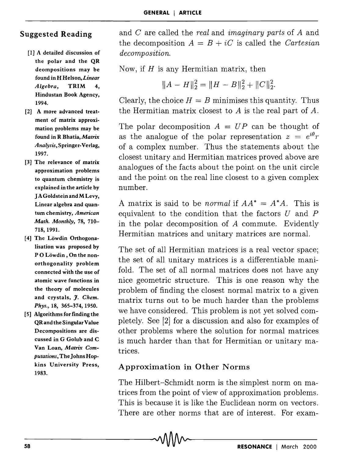### Suggested Reading

- [1] A detailed discussion of the polar and the QR deompositions may be found in H Helson, *Linear Algebra,* TRIM 4, Hindustan Book Agency, 1994.
- [2] A more advanced treatment of matrix approximation problems may be found in R Bhatia, *Matrix Analysis,* Springer-Verlag, 1997.
- [3] The relevance of matrix approximation problems to quantum chemistry is explained in the article by J A Goldstein andM Levy, Linear algebra and quantum chemistry, *American Math. Monthly,* 78, 710- 718,1991.
- [4] The Löwdin Orthogonalisation was proposed by PO Löwdin, On the nonorthogonality problem connected with the use of atomic wave functions in the theory of molecules and crystals, *J. Chem. Phys.)* 18, 365-374,1950.
- [5] Algorithms for finding the QR and the Singular Value Decompositions are discussed in G Golub and C Van Loan, *Matrix Computations,* The Johns Hopkins University Press, 1983.

and C are called the *real* and *imaginary parts* of *A* and the decomposition  $A = B + iC$  is called the *Cartesian decomposition.* 

Now, if  $H$  is any Hermitian matrix, then

$$
||A - H||_2^2 = ||H - B||_2^2 + ||C||_2^2.
$$

Clearly, the choice  $H = B$  minimises this quantity. Thus the Hermitian matrix closest to *A* is the real part of *A.* 

The polar decomposition  $A = UP$  can be thought of as the analogue of the polar representation  $z = e^{i\theta}r$ of a complex number. Thus the statements about the closest unitary and Hermitian matrices proved above are analogues of the facts about the point on the unit circle and the point on the real line closest to a given complex number.

A matrix is said to be *normal* if  $AA^* = A^*A$ . This is equivalent to the condition that the factors  $U$  and  $P$ in the polar decomposition of A commute. Evidently Hermitian matrices and unitary matrices are normal.

The set of all Hermitian matrices is a real vector space; the set of all unitary matrices is a differentiable manifold. The set of all normal matrices does not have any nice geometric structure. This is one reason why the problem of finding the closest normal matrix to a given matrix turns out to be much harder than the problems we have considered. This problem is not yet solved completely. See [2] for a discussion and also for examples of other problems where the solution for normal matrices is much harder than that for Hermitian or unitary matrices.

## Approximation in Other Norms

The Hilbert-Schmidt norm is the simplest norm on matrices from the point of view of approximation problems. This is because it is like the Euclidean norm on vectors. There are other norms that are of interest. For exam-